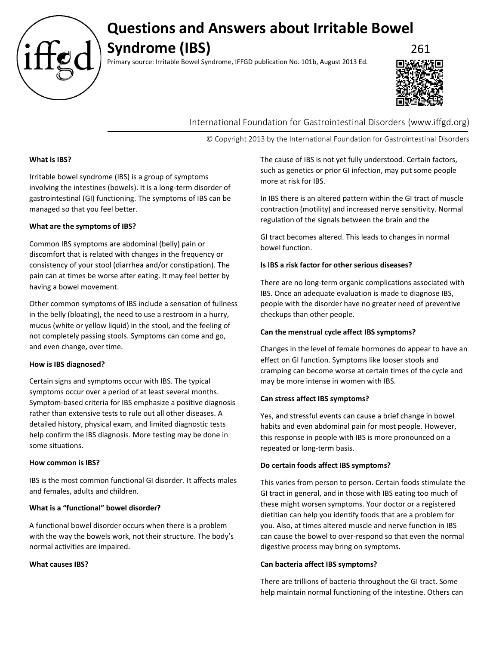

# **Questions and Answers about Irritable Bowel Syndrome (IBS)** 261

Primary source: Irritable Bowel Syndrome, IFFGD publication No. 101b, August 2013 Ed.



International Foundation for Gastrointestinal Disorders (www.iffgd.org)

© Copyright 2013 by the International Foundation for Gastrointestinal Disorders

## **What is IBS?**

Irritable bowel syndrome (IBS) is a group of symptoms involving the intestines (bowels). It is a long-term disorder of gastrointestinal (GI) functioning. The symptoms of IBS can be managed so that you feel better.

#### **What are the symptoms of IBS?**

Common IBS symptoms are abdominal (belly) pain or discomfort that is related with changes in the frequency or consistency of your stool (diarrhea and/or constipation). The pain can at times be worse after eating. It may feel better by having a bowel movement.

Other common symptoms of IBS include a sensation of fullness in the belly (bloating), the need to use a restroom in a hurry, mucus (white or yellow liquid) in the stool, and the feeling of not completely passing stools. Symptoms can come and go, and even change, over time.

#### **How is IBS diagnosed?**

Certain signs and symptoms occur with IBS. The typical symptoms occur over a period of at least several months. Symptom-based criteria for IBS emphasize a positive diagnosis rather than extensive tests to rule out all other diseases. A detailed history, physical exam, and limited diagnostic tests help confirm the IBS diagnosis. More testing may be done in some situations.

#### **How common is IBS?**

IBS is the most common functional GI disorder. It affects males and females, adults and children.

## **What is a "functional" bowel disorder?**

A functional bowel disorder occurs when there is a problem with the way the bowels work, not their structure. The body's normal activities are impaired.

#### **What causes IBS?**

The cause of IBS is not yet fully understood. Certain factors, such as genetics or prior GI infection, may put some people more at risk for IBS.

In IBS there is an altered pattern within the GI tract of muscle contraction (motility) and increased nerve sensitivity. Normal regulation of the signals between the brain and the

GI tract becomes altered. This leads to changes in normal bowel function.

## **Is IBS a risk factor for other serious diseases?**

There are no long-term organic complications associated with IBS. Once an adequate evaluation is made to diagnose IBS, people with the disorder have no greater need of preventive checkups than other people.

## **Can the menstrual cycle affect IBS symptoms?**

Changes in the level of female hormones do appear to have an effect on GI function. Symptoms like looser stools and cramping can become worse at certain times of the cycle and may be more intense in women with IBS.

## **Can stress affect IBS symptoms?**

Yes, and stressful events can cause a brief change in bowel habits and even abdominal pain for most people. However, this response in people with IBS is more pronounced on a repeated or long-term basis.

## **Do certain foods affect IBS symptoms?**

This varies from person to person. Certain foods stimulate the GI tract in general, and in those with IBS eating too much of these might worsen symptoms. Your doctor or a registered dietitian can help you identify foods that are a problem for you. Also, at times altered muscle and nerve function in IBS can cause the bowel to over-respond so that even the normal digestive process may bring on symptoms.

## **Can bacteria affect IBS symptoms?**

There are trillions of bacteria throughout the GI tract. Some help maintain normal functioning of the intestine. Others can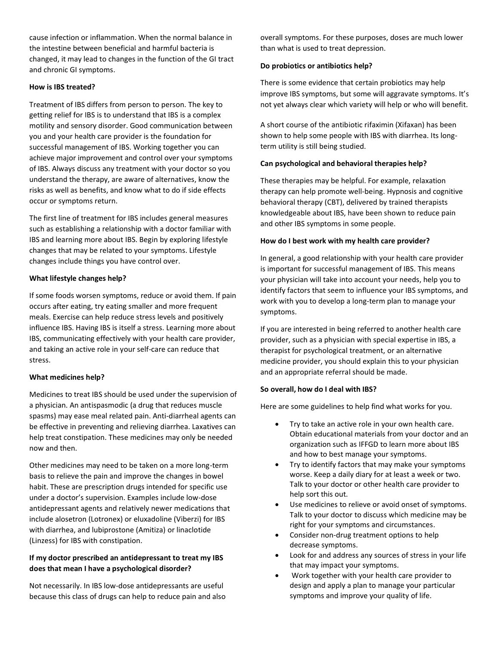cause infection or inflammation. When the normal balance in the intestine between beneficial and harmful bacteria is changed, it may lead to changes in the function of the GI tract and chronic GI symptoms.

## **How is IBS treated?**

Treatment of IBS differs from person to person. The key to getting relief for IBS is to understand that IBS is a complex motility and sensory disorder. Good communication between you and your health care provider is the foundation for successful management of IBS. Working together you can achieve major improvement and control over your symptoms of IBS. Always discuss any treatment with your doctor so you understand the therapy, are aware of alternatives, know the risks as well as benefits, and know what to do if side effects occur or symptoms return.

The first line of treatment for IBS includes general measures such as establishing a relationship with a doctor familiar with IBS and learning more about IBS. Begin by exploring lifestyle changes that may be related to your symptoms. Lifestyle changes include things you have control over.

## **What lifestyle changes help?**

If some foods worsen symptoms, reduce or avoid them. If pain occurs after eating, try eating smaller and more frequent meals. Exercise can help reduce stress levels and positively influence IBS. Having IBS is itself a stress. Learning more about IBS, communicating effectively with your health care provider, and taking an active role in your self-care can reduce that stress.

## **What medicines help?**

Medicines to treat IBS should be used under the supervision of a physician. An antispasmodic (a drug that reduces muscle spasms) may ease meal related pain. Anti-diarrheal agents can be effective in preventing and relieving diarrhea. Laxatives can help treat constipation. These medicines may only be needed now and then.

Other medicines may need to be taken on a more long-term basis to relieve the pain and improve the changes in bowel habit. These are prescription drugs intended for specific use under a doctor's supervision. Examples include low-dose antidepressant agents and relatively newer medications that include alosetron (Lotronex) or eluxadoline (Viberzi) for IBS with diarrhea, and lubiprostone (Amitiza) or linaclotide (Linzess) for IBS with constipation.

## **If my doctor prescribed an antidepressant to treat my IBS does that mean I have a psychological disorder?**

Not necessarily. In IBS low-dose antidepressants are useful because this class of drugs can help to reduce pain and also overall symptoms. For these purposes, doses are much lower than what is used to treat depression.

# **Do probiotics or antibiotics help?**

There is some evidence that certain probiotics may help improve IBS symptoms, but some will aggravate symptoms. It's not yet always clear which variety will help or who will benefit.

A short course of the antibiotic rifaximin (Xifaxan) has been shown to help some people with IBS with diarrhea. Its longterm utility is still being studied.

# **Can psychological and behavioral therapies help?**

These therapies may be helpful. For example, relaxation therapy can help promote well-being. Hypnosis and cognitive behavioral therapy (CBT), delivered by trained therapists knowledgeable about IBS, have been shown to reduce pain and other IBS symptoms in some people.

# **How do I best work with my health care provider?**

In general, a good relationship with your health care provider is important for successful management of IBS. This means your physician will take into account your needs, help you to identify factors that seem to influence your IBS symptoms, and work with you to develop a long-term plan to manage your symptoms.

If you are interested in being referred to another health care provider, such as a physician with special expertise in IBS, a therapist for psychological treatment, or an alternative medicine provider, you should explain this to your physician and an appropriate referral should be made.

# **So overall, how do I deal with IBS?**

Here are some guidelines to help find what works for you.

- Try to take an active role in your own health care. Obtain educational materials from your doctor and an organization such as IFFGD to learn more about IBS and how to best manage your symptoms.
- Try to identify factors that may make your symptoms worse. Keep a daily diary for at least a week or two. Talk to your doctor or other health care provider to help sort this out.
- Use medicines to relieve or avoid onset of symptoms. Talk to your doctor to discuss which medicine may be right for your symptoms and circumstances.
- Consider non-drug treatment options to help decrease symptoms.
- Look for and address any sources of stress in your life that may impact your symptoms.
- Work together with your health care provider to design and apply a plan to manage your particular symptoms and improve your quality of life.